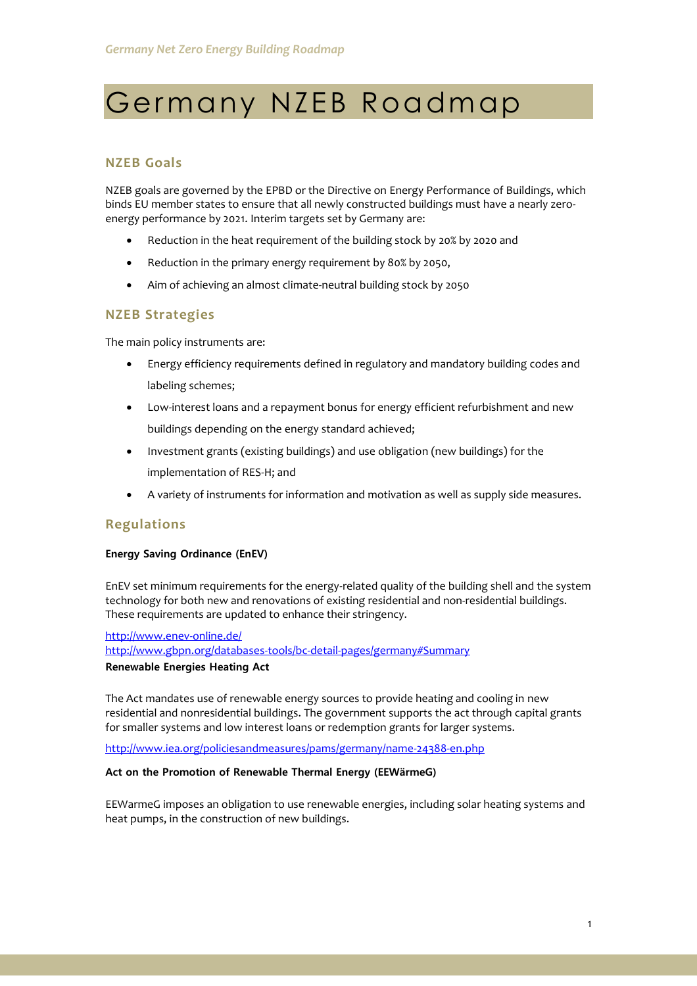# Germany NZEB Roadmap

# **NZEB Goals**

NZEB goals are governed by the EPBD or the Directive on Energy Performance of Buildings, which binds EU member states to ensure that all newly constructed buildings must have a nearly zeroenergy performance by 2021. Interim targets set by Germany are:

- Reduction in the heat requirement of the building stock by 20% by 2020 and
- Reduction in the primary energy requirement by 80% by 2050,
- Aim of achieving an almost climate-neutral building stock by 2050

# **NZEB Strategies**

The main policy instruments are:

- Energy efficiency requirements defined in regulatory and mandatory building codes and labeling schemes;
- Low-interest loans and a repayment bonus for energy efficient refurbishment and new buildings depending on the energy standard achieved;
- Investment grants (existing buildings) and use obligation (new buildings) for the implementation of RES-H; and
- A variety of instruments for information and motivation as well as supply side measures.

# **Regulations**

#### **Energy Saving Ordinance (EnEV)**

EnEV set minimum requirements for the energy-related quality of the building shell and the system technology for both new and renovations of existing residential and non-residential buildings. These requirements are updated to enhance their stringency.

<http://www.enev-online.de/> <http://www.gbpn.org/databases-tools/bc-detail-pages/germany#Summary> **Renewable Energies Heating Act**

The Act mandates use of renewable energy sources to provide heating and cooling in new residential and nonresidential buildings. The government supports the act through capital grants for smaller systems and low interest loans or redemption grants for larger systems.

<http://www.iea.org/policiesandmeasures/pams/germany/name-24388-en.php>

#### **Act on the Promotion of Renewable Thermal Energy (EEWärmeG)**

EEWarmeG imposes an obligation to use renewable energies, including solar heating systems and heat pumps, in the construction of new buildings.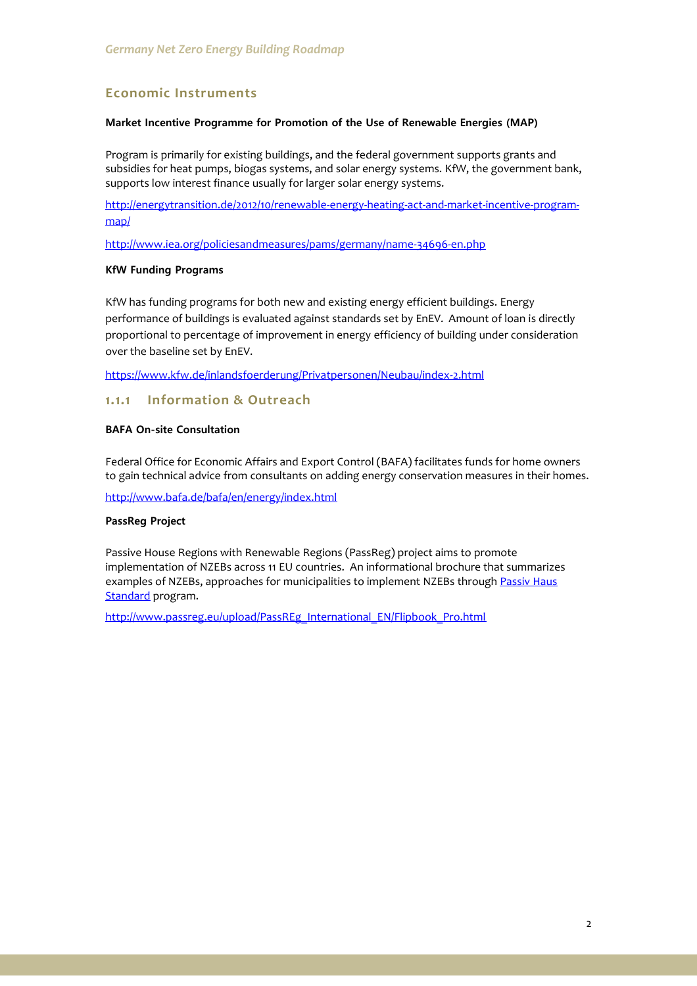# **Economic Instruments**

#### **Market Incentive Programme for Promotion of the Use of Renewable Energies (MAP)**

Program is primarily for existing buildings, and the federal government supports grants and subsidies for heat pumps, biogas systems, and solar energy systems. KfW, the government bank, supports low interest finance usually for larger solar energy systems.

[http://energytransition.de/2012/10/renewable-energy-heating-act-and-market-incentive-program](http://energytransition.de/2012/10/renewable-energy-heating-act-and-market-incentive-program-map/)[map/](http://energytransition.de/2012/10/renewable-energy-heating-act-and-market-incentive-program-map/)

<http://www.iea.org/policiesandmeasures/pams/germany/name-34696-en.php>

#### **KfW Funding Programs**

KfW has funding programs for both new and existing energy efficient buildings. Energy performance of buildings is evaluated against standards set by EnEV. Amount of loan is directly proportional to percentage of improvement in energy efficiency of building under consideration over the baseline set by EnEV.

<https://www.kfw.de/inlandsfoerderung/Privatpersonen/Neubau/index-2.html>

# **1.1.1 Information & Outreach**

# **BAFA On-site Consultation**

Federal Office for Economic Affairs and Export Control (BAFA) facilitates funds for home owners to gain technical advice from consultants on adding energy conservation measures in their homes.

<http://www.bafa.de/bafa/en/energy/index.html>

#### **PassReg Project**

Passive House Regions with Renewable Regions (PassReg) project aims to promote implementation of NZEBs across 11 EU countries. An informational brochure that summarizes examples of NZEBs, approaches for municipalities to implement NZEBs through Passiv Haus [Standard](http://www.passiv.de/en/index.php) program.

[http://www.passreg.eu/upload/PassREg\\_International\\_EN/Flipbook\\_Pro.html](http://www.passreg.eu/upload/PassREg_International_EN/Flipbook_Pro.html)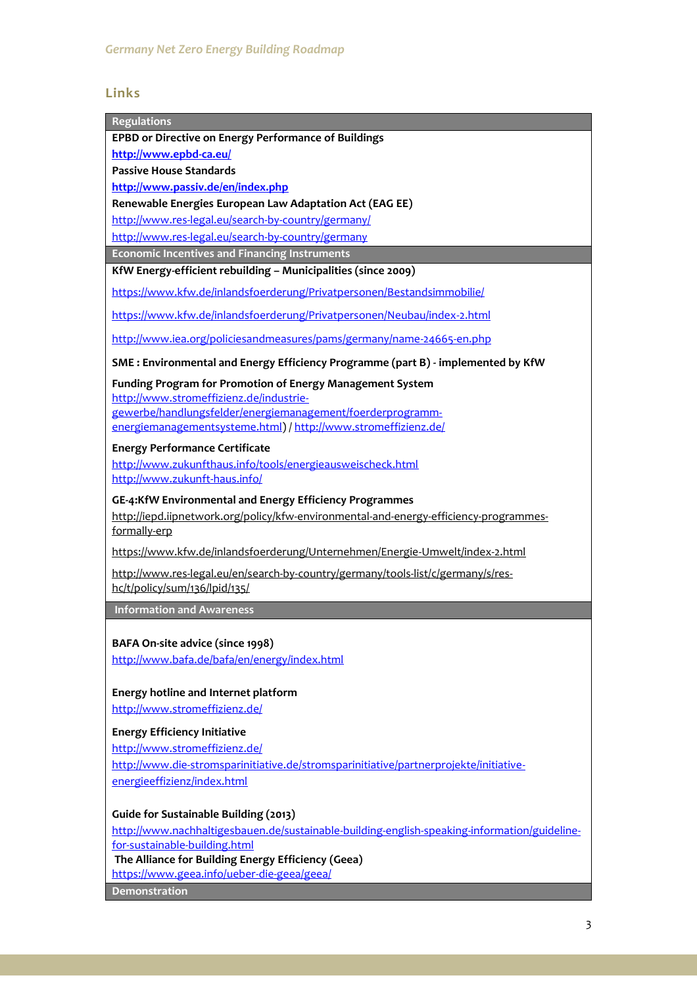# **Links**

| EPBD or Directive on Energy Performance of Buildings                                         |
|----------------------------------------------------------------------------------------------|
| http://www.epbd-ca.eu/                                                                       |
| <b>Passive House Standards</b>                                                               |
| http://www.passiv.de/en/index.php                                                            |
| Renewable Energies European Law Adaptation Act (EAG EE)                                      |
| http://www.res-legal.eu/search-by-country/germany/                                           |
| http://www.res-legal.eu/search-by-country/germany                                            |
| <b>Economic Incentives and Financing Instruments</b>                                         |
| KfW Energy-efficient rebuilding - Municipalities (since 2009)                                |
| https://www.kfw.de/inlandsfoerderung/Privatpersonen/Bestandsimmobilie/                       |
| https://www.kfw.de/inlandsfoerderung/Privatpersonen/Neubau/index-2.html                      |
| http://www.iea.org/policiesandmeasures/pams/germany/name-24665-en.php                        |
| SME: Environmental and Energy Efficiency Programme (part B) - implemented by KfW             |
| Funding Program for Promotion of Energy Management System                                    |
| http://www.stromeffizienz.de/industrie-                                                      |
| gewerbe/handlungsfelder/energiemanagement/foerderprogramm-                                   |
| energiemanagementsysteme.html) / http://www.stromeffizienz.de/                               |
| <b>Energy Performance Certificate</b>                                                        |
| http://www.zukunfthaus.info/tools/energieausweischeck.html<br>http://www.zukunft-haus.info/  |
| GE-4:KfW Environmental and Energy Efficiency Programmes                                      |
| http://iepd.iipnetwork.org/policy/kfw-environmental-and-energy-efficiency-programmes-        |
| formally-erp                                                                                 |
| https://www.kfw.de/inlandsfoerderung/Unternehmen/Energie-Umwelt/index-2.html                 |
| http://www.res-legal.eu/en/search-by-country/germany/tools-list/c/germany/s/res-             |
| hc/t/policy/sum/136/lpid/135/                                                                |
| <b>Information and Awareness</b>                                                             |
|                                                                                              |
| BAFA On-site advice (since 1998)                                                             |
| http://www.bafa.de/bafa/en/energy/index.html                                                 |
|                                                                                              |
| <b>Energy hotline and Internet platform</b>                                                  |
| http://www.stromeffizienz.de/                                                                |
| <b>Energy Efficiency Initiative</b>                                                          |
| http://www.stromeffizienz.de/                                                                |
| http://www.die-stromsparinitiative.de/stromsparinitiative/partnerprojekte/initiative-        |
| energieeffizienz/index.html                                                                  |
|                                                                                              |
| <b>Guide for Sustainable Building (2013)</b>                                                 |
| http://www.nachhaltigesbauen.de/sustainable-building-english-speaking-information/guideline- |
| for-sustainable-building.html                                                                |
| The Alliance for Building Energy Efficiency (Geea)                                           |
| https://www.geea.info/ueber-die-geea/geea/                                                   |
| <b>Demonstration</b>                                                                         |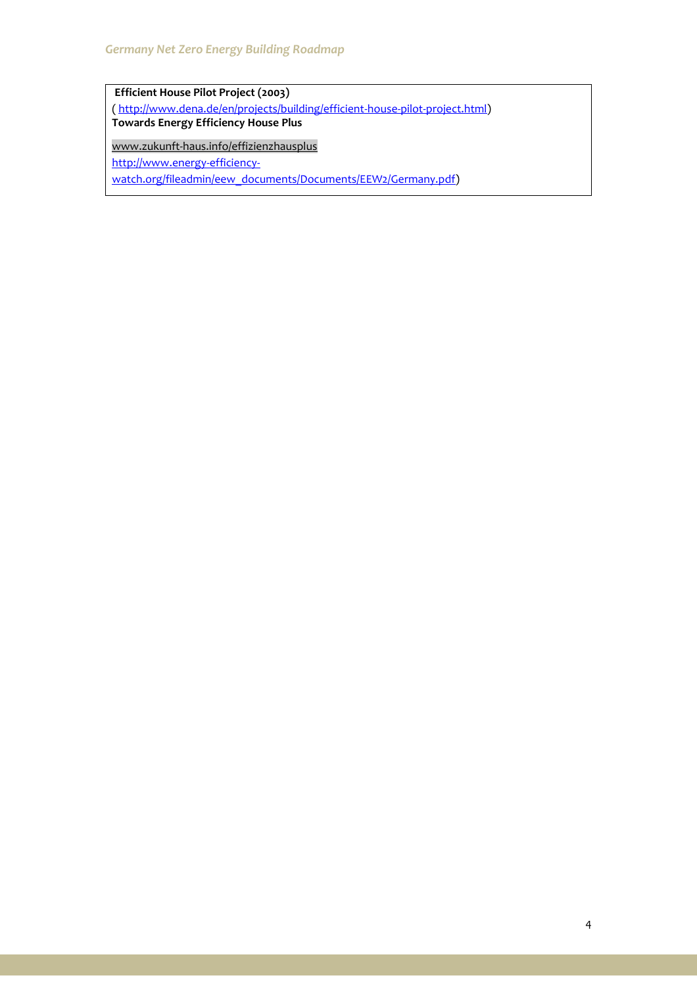**Efficient House Pilot Project (2003)** [\( http://www.dena.de/en/projects/building/efficient-house-pilot-project.html\)](http://www.dena.de/en/projects/building/efficient-house-pilot-project.html) **Towards Energy Efficiency House Plus** [www.zukunft-haus.info/effizienzhausplus](http://www.zukunft-haus.info/bauen-sanieren/schritt-fuer-schritt-zum-effizienzhaus/dena-modellvorhaben-effizienzhaeuser.html)

http://www.energy-efficiency-

watch.org/fileadmin/eew\_documents/Documents/EEW2/Germany.pdf)